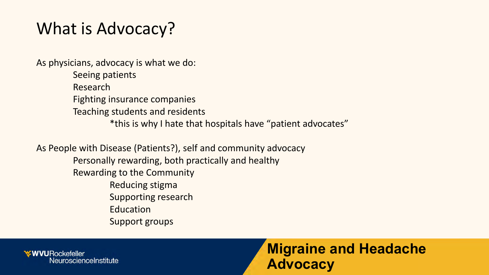# What is Advocacy?

As physicians, advocacy is what we do:

Seeing patients Research Fighting insurance companies Teaching students and residents \*this is why I hate that hospitals have "patient advocates"

As People with Disease (Patients?), self and community advocacy Personally rewarding, both practically and healthy Rewarding to the Community Reducing stigma Supporting research Education Support groups

**XWVURockefeller** NeuroscienceInstitute

#### **Migraine and Headache Advocacy**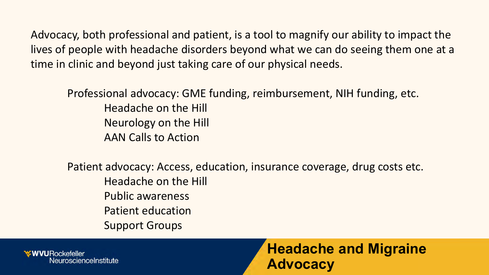Advocacy, both professional and patient, is a tool to magnify our ability to impact the lives of people with headache disorders beyond what we can do seeing them one at a time in clinic and beyond just taking care of our physical needs.

Professional advocacy: GME funding, reimbursement, NIH funding, etc. Headache on the Hill Neurology on the Hill AAN Calls to Action

Patient advocacy: Access, education, insurance coverage, drug costs etc. Headache on the Hill Public awareness Patient education Support Groups

**WVURockefeller** roscienceInstitute

**Headache and Migraine Advocacy**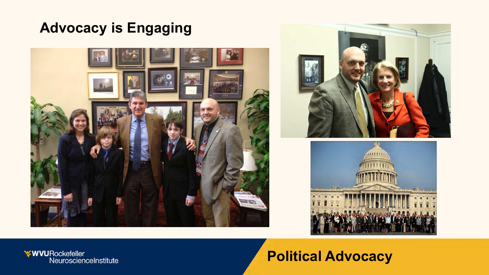## **Advocacy is Engaging**







**WVURockefeller**<br>NeuroscienceInstitute

## **Political Advocacy**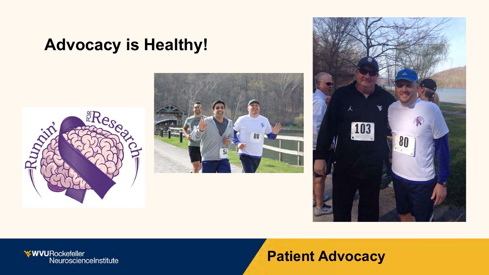# **Advocacy is Healthy!**







#### **Patient Advocacy**

**WVURockefeller**<br>NeuroscienceInstitute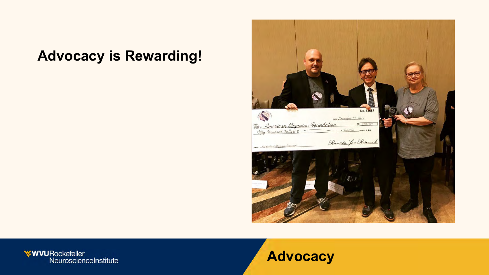### **Advocacy is Rewarding!**



**WVURockefeller**<br>NeuroscienceInstitute

#### **Advocacy**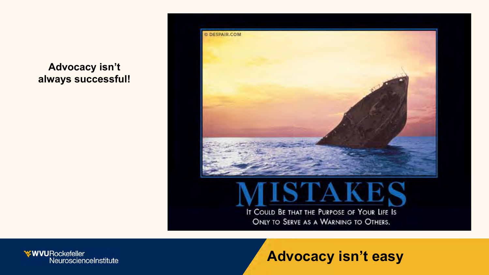

**Advocacy isn't always successful!**

> IT COULD BE THAT THE PURPOSE OF YOUR LIFE IS ONLY TO SERVE AS A WARNING TO OTHERS.

#### **Advocacy isn't easy**

**WVURockefeller**<br>NeuroscienceInstitute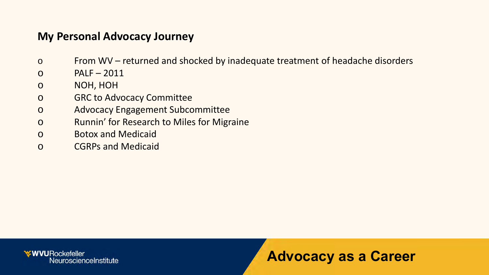#### **My Personal Advocacy Journey**

- o From WV returned and shocked by inadequate treatment of headache disorders
- $O$  PALF 2011
- o NOH, HOH
- o GRC to Advocacy Committee
- o Advocacy Engagement Subcommittee
- o Runnin' for Research to Miles for Migraine
- o Botox and Medicaid
- o CGRPs and Medicaid

**WWURockefeller** NeuroscienceInstitute

#### **Advocacy as a Career**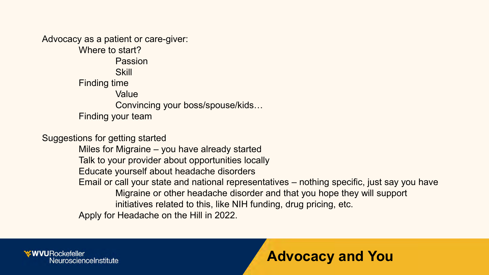Advocacy as a patient or care-giver: Where to start? Passion **Skill** Finding time Value Convincing your boss/spouse/kids… Finding your team

Suggestions for getting started

Miles for Migraine – you have already started Talk to your provider about opportunities locally Educate yourself about headache disorders Email or call your state and national representatives – nothing specific, just say you have Migraine or other headache disorder and that you hope they will support initiatives related to this, like NIH funding, drug pricing, etc. Apply for Headache on the Hill in 2022.

**EWVURockefeller** NeuroscienceInstitute

#### **Advocacy and You**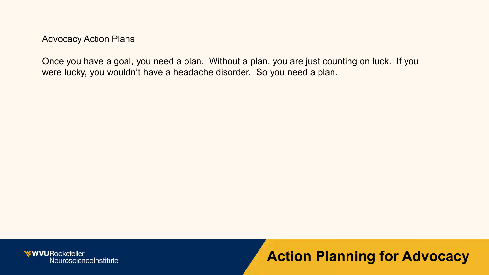Once you have a goal, you need a plan. Without a plan, you are just counting on luck. If you were lucky, you wouldn't have a headache disorder. So you need a plan.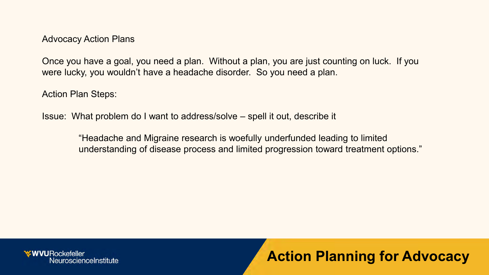Once you have a goal, you need a plan. Without a plan, you are just counting on luck. If you were lucky, you wouldn't have a headache disorder. So you need a plan.

Action Plan Steps:

Issue: What problem do I want to address/solve – spell it out, describe it

"Headache and Migraine research is woefully underfunded leading to limited understanding of disease process and limited progression toward treatment options."

*≮***WVURockefeller** NeuroscienceInstitute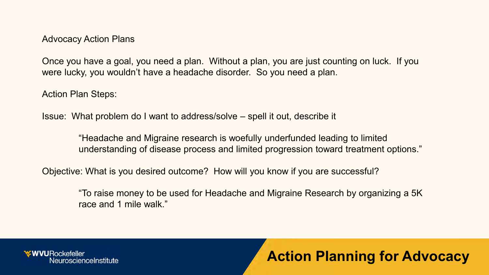Once you have a goal, you need a plan. Without a plan, you are just counting on luck. If you were lucky, you wouldn't have a headache disorder. So you need a plan.

Action Plan Steps:

Issue: What problem do I want to address/solve – spell it out, describe it

"Headache and Migraine research is woefully underfunded leading to limited understanding of disease process and limited progression toward treatment options."

Objective: What is you desired outcome? How will you know if you are successful?

"To raise money to be used for Headache and Migraine Research by organizing a 5K race and 1 mile walk."

**EWVURockefeller** NeuroscienceInstitute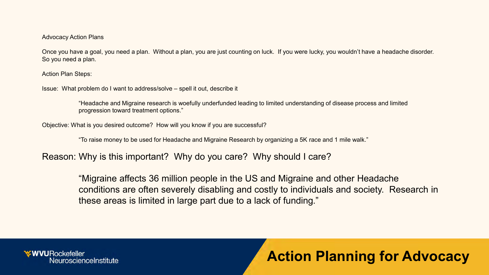Once you have a goal, you need a plan. Without a plan, you are just counting on luck. If you were lucky, you wouldn't have a headache disorder. So you need a plan.

Action Plan Steps:

Issue: What problem do I want to address/solve – spell it out, describe it

"Headache and Migraine research is woefully underfunded leading to limited understanding of disease process and limited progression toward treatment options."

Objective: What is you desired outcome? How will you know if you are successful?

"To raise money to be used for Headache and Migraine Research by organizing a 5K race and 1 mile walk."

Reason: Why is this important? Why do you care? Why should I care?

"Migraine affects 36 million people in the US and Migraine and other Headache conditions are often severely disabling and costly to individuals and society. Research in these areas is limited in large part due to a lack of funding."

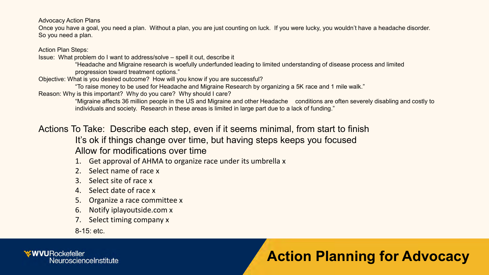Once you have a goal, you need a plan. Without a plan, you are just counting on luck. If you were lucky, you wouldn't have a headache disorder. So you need a plan.

Action Plan Steps:

Issue: What problem do I want to address/solve – spell it out, describe it

"Headache and Migraine research is woefully underfunded leading to limited understanding of disease process and limited progression toward treatment options."

Objective: What is you desired outcome? How will you know if you are successful?

"To raise money to be used for Headache and Migraine Research by organizing a 5K race and 1 mile walk."

Reason: Why is this important? Why do you care? Why should I care?

"Migraine affects 36 million people in the US and Migraine and other Headache conditions are often severely disabling and costly to individuals and society. Research in these areas is limited in large part due to a lack of funding."

Actions To Take: Describe each step, even if it seems minimal, from start to finish It's ok if things change over time, but having steps keeps you focused Allow for modifications over time

1. Get approval of AHMA to organize race under its umbrella x

- 2. Select name of race x
- 3. Select site of race x
- 4. Select date of race x
- 5. Organize a race committee x
- 6. Notify iplayoutside.com x
- 7. Select timing company x

8-15: etc.

**WVURockefeller** NeuroscienceInstitute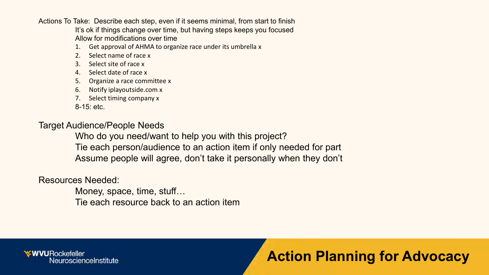Actions To Take: Describe each step, even if it seems minimal, from start to finish It's ok if things change over time, but having steps keeps you focused Allow for modifications over time

- Get approval of AHMA to organize race under its umbrella x
- 2. Select name of race x
- 3. Select site of race x
- 4. Select date of race x
- 5. Organize a race committee x
- 6. Notify iplayoutside.com x
- 7. Select timing company x

8-15: etc.

#### Target Audience/People Needs

Who do you need/want to help you with this project? Tie each person/audience to an action item if only needed for part Assume people will agree, don't take it personally when they don't

Resources Needed:

Money, space, time, stuff… Tie each resource back to an action item

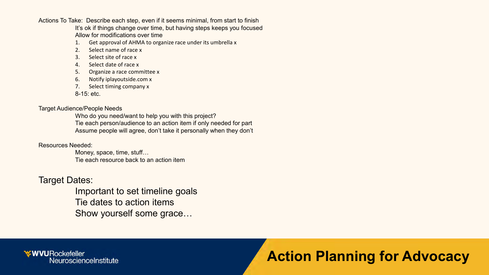Actions To Take: Describe each step, even if it seems minimal, from start to finish It's ok if things change over time, but having steps keeps you focused Allow for modifications over time

- 1. Get approval of AHMA to organize race under its umbrella x
- 2. Select name of race x
- 3. Select site of race x
- 4. Select date of race x
- 5. Organize a race committee x
- 6. Notify iplayoutside.com x
- 7. Select timing company x

8-15: etc.

#### Target Audience/People Needs

Who do you need/want to help you with this project? Tie each person/audience to an action item if only needed for part Assume people will agree, don't take it personally when they don't

#### Resources Needed:

Money, space, time, stuff… Tie each resource back to an action item

#### Target Dates:

Important to set timeline goals Tie dates to action items Show yourself some grace…

**WVURockefeller** NeuroscienceInstitute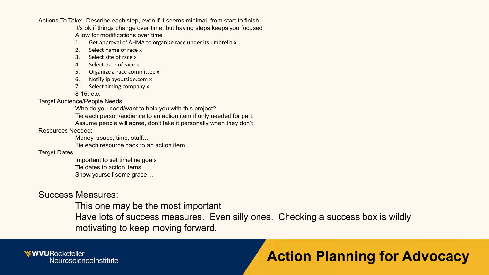Actions To Take: Describe each step, even if it seems minimal, from start to finish

It's ok if things change over time, but having steps keeps you focused Allow for modifications over time

- 1. Get approval of AHMA to organize race under its umbrella x
- 2. Select name of race x
- 3. Select site of race x
- 4. Select date of race x
- 5. Organize a race committee x
- 6. Notify iplayoutside.com x
- 7. Select timing company x

8-15: etc.

Target Audience/People Needs

Who do you need/want to help you with this project?

Tie each person/audience to an action item if only needed for part

Assume people will agree, don't take it personally when they don't

Resources Needed:

Money, space, time, stuff…

Tie each resource back to an action item

Target Dates:

Important to set timeline goals Tie dates to action items Show yourself some grace…

#### Success Measures:

This one may be the most important Have lots of success measures. Even silly ones. Checking a success box is wildly motivating to keep moving forward.